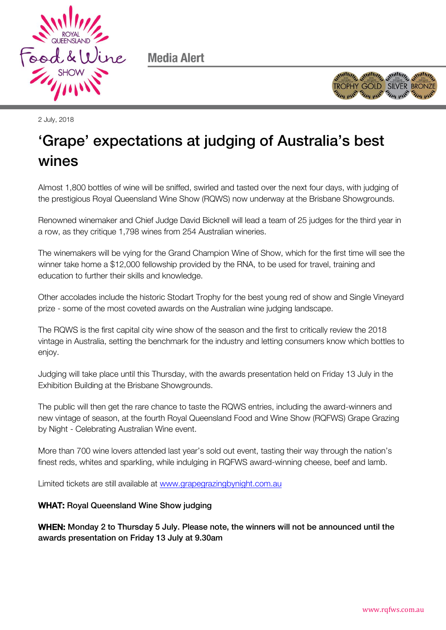

**Media Alert** 



2 July, 2018

## 'Grape' expectations at judging of Australia's best wines

Almost 1,800 bottles of wine will be sniffed, swirled and tasted over the next four days, with judging of the prestigious Royal Queensland Wine Show (RQWS) now underway at the Brisbane Showgrounds.

Renowned winemaker and Chief Judge David Bicknell will lead a team of 25 judges for the third year in a row, as they critique 1,798 wines from 254 Australian wineries.

The winemakers will be vying for the Grand Champion Wine of Show, which for the first time will see the winner take home a \$12,000 fellowship provided by the RNA, to be used for travel, training and education to further their skills and knowledge.

Other accolades include the historic Stodart Trophy for the best young red of show and Single Vineyard prize - some of the most coveted awards on the Australian wine judging landscape.

The RQWS is the first capital city wine show of the season and the first to critically review the 2018 vintage in Australia, setting the benchmark for the industry and letting consumers know which bottles to enjoy.

Judging will take place until this Thursday, with the awards presentation held on Friday 13 July in the Exhibition Building at the Brisbane Showgrounds.

The public will then get the rare chance to taste the RQWS entries, including the award-winners and new vintage of season, at the fourth Royal Queensland Food and Wine Show (RQFWS) Grape Grazing by Night - Celebrating Australian Wine event.

More than 700 wine lovers attended last year's sold out event, tasting their way through the nation's finest reds, whites and sparkling, while indulging in RQFWS award-winning cheese, beef and lamb.

Limited tickets are still available at [www.grapegrazingbynight.com.au](http://www.grapegrazingbynight.com.au/)

## WHAT: Royal Queensland Wine Show judging

 $W = \frac{1}{2}$ awards presentation on Friday 13 July at 9.30am